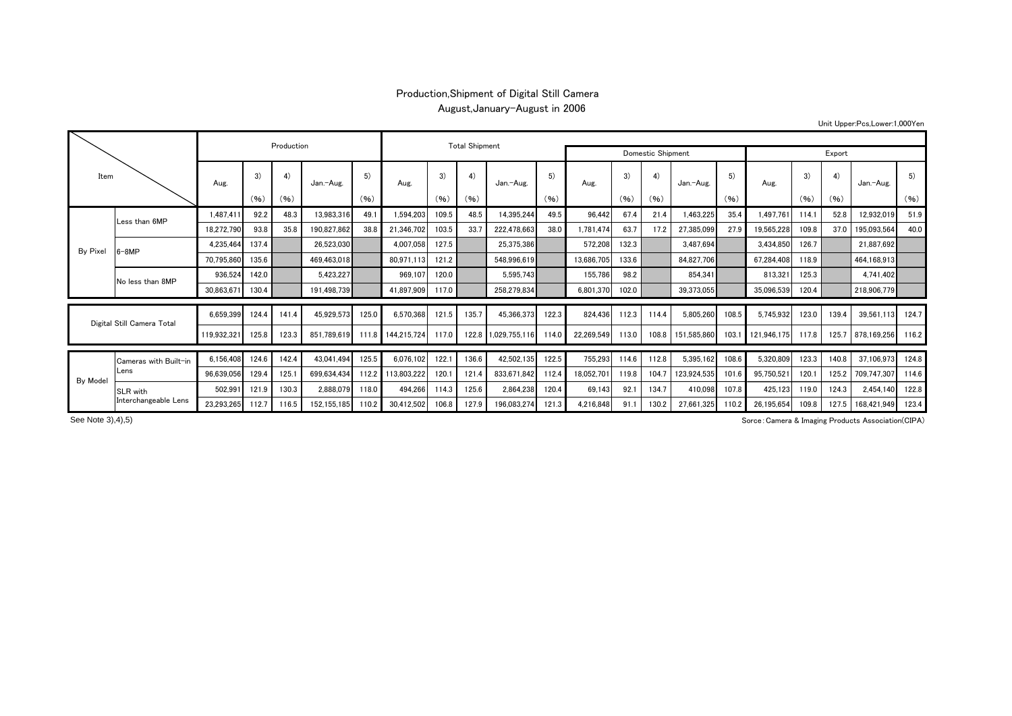## Production,Shipment of Digital Still Camera August,January-August in 2006

Unit Upper:Pcs,Lower:1,000Yen

| Item                       |                               |             | Production |       | <b>Total Shipment</b> |       |             |       |       |                   |        |            |       |       |             |       |             |       |       |             |       |
|----------------------------|-------------------------------|-------------|------------|-------|-----------------------|-------|-------------|-------|-------|-------------------|--------|------------|-------|-------|-------------|-------|-------------|-------|-------|-------------|-------|
|                            |                               |             |            |       |                       |       |             |       |       | Domestic Shipment | Export |            |       |       |             |       |             |       |       |             |       |
|                            |                               | Aug.        | 3)         | 4)    | Jan.-Aug.             | 5)    | Aug.        | 3)    | 4)    | Jan.-Aug.         | 5)     | Aug.       | 3)    | 4)    | Jan.-Aug.   | 5)    | Aug.        | 3)    | 4)    | Jan.-Aug.   | 5)    |
|                            |                               |             | (96)       | (96)  |                       | (96)  |             | (96)  | (96)  |                   | (96)   |            | (96)  | (96)  |             | (96)  |             | (96)  | (96)  |             | (96)  |
|                            | Less than 6MP                 | 1,487,41    | 92.2       | 48.3  | 13,983,316            | 49.1  | 1,594,203   | 109.5 | 48.5  | 14,395,244        | 49.5   | 96.442     | 67.4  | 21.4  | 1,463,225   | 35.4  | 1,497,761   | 114.7 | 52.8  | 12,932,019  | 51.9  |
|                            |                               | 18,272,790  | 93.8       | 35.8  | 190,827,862           | 38.8  | 21,346,702  | 103.5 | 33.7  | 222,478,663       | 38.0   | 1.781.474  | 63.7  | 17.2  | 27,385,099  | 27.9  | 19,565,228  | 109.8 | 37.0  | 195,093,564 | 40.0  |
| By Pixel                   | $3-8MP$                       | 4,235,464   | 137.4      |       | 26,523,030            |       | 4,007,058   | 127.5 |       | 25,375,386        |        | 572,208    | 132.3 |       | 3,487,694   |       | 3,434,850   | 126.7 |       | 21,887,692  |       |
|                            |                               | 70,795,860  | 135.6      |       | 469,463,018           |       | 80,971,113  | 121.2 |       | 548,996,619       |        | 13,686,705 | 133.6 |       | 84,827,706  |       | 67,284,408  | 118.9 |       | 464,168,913 |       |
|                            | No less than 8MP              | 936,524     | 142.0      |       | 5,423,227             |       | 969.107     | 120.0 |       | 5,595,743         |        | 155,786    | 98.2  |       | 854,341     |       | 813,321     | 125.3 |       | 4,741,402   |       |
|                            |                               | 30,863,671  | 130.4      |       | 191.498.739           |       | 41,897,909  | 117.0 |       | 258.279.834       |        | 6,801,370  | 102.0 |       | 39.373.055  |       | 35,096,539  | 120.4 |       | 218,906,779 |       |
| Digital Still Camera Total |                               | 6,659,399   | 124.4      | 141.4 | 45,929,573            | 125.0 | 6,570,368   | 121.5 | 135.7 | 45,366,373        | 122.3  | 824.436    | 112.3 | 114.4 | 5,805,260   | 108.5 | 5,745,932   | 123.0 | 139.4 | 39,561,113  | 124.7 |
|                            |                               | 119,932,321 | 125.8      | 123.3 | 851.789.619           | 111.8 | 144,215,724 | 117.0 | 122.8 | 1,029,755,116     | 114.0  | 22,269,549 | 113.0 | 108.8 | 151.585.860 | 103.1 | 121.946.175 | 117.8 | 125.7 | 878.169.256 | 116.2 |
|                            | Cameras with Built-in<br>Lens | 6,156,408   | 124.6      | 142.4 | 43,041,494            | 125.5 | 6,076,102   | 122.  | 136.6 | 42,502,135        | 122.5  | 755,293    | 114.6 | 112.8 | 5,395,162   | 108.6 | 5,320,809   | 123.3 | 140.8 | 37,106,973  | 124.8 |
|                            |                               | 96,639,056  | 129.4      | 125.7 | 699.634.434           | 112.2 | 113,803,222 | 120.  | 121.4 | 833.671.842       | 112.4  | 18.052.701 | 119.8 | 104.7 | 123.924.535 | 101.6 | 95,750,521  | 120.7 | 125.2 | 709.747.30  | 114.6 |
| By Model                   | SLR with                      | 502,991     | 121.9      | 130.3 | 2,888,079             | 118.0 | 494.266     | 114.3 | 125.6 | 2.864.238         | 120.4  | 69.143     | 92.1  | 134.7 | 410.098     | 107.8 | 425,123     | 119.0 | 124.3 | 2,454,140   | 122.8 |
|                            | Interchangeable Lens          | 23.293.265  | 112.7      | 116.5 | 152.155.185           | 110.2 | 30,412,502  | 106.8 | 127.9 | 196.083.274       | 121.3  | 4.216.848  | 91.1  | 130.2 | 27.661.325  | 110.2 | 26.195.654  | 109.8 | 127.5 | 168.421.949 | 123.4 |

See Note 3), 4), 5)

Sorce:Camera & Imaging Products Association(CIPA)